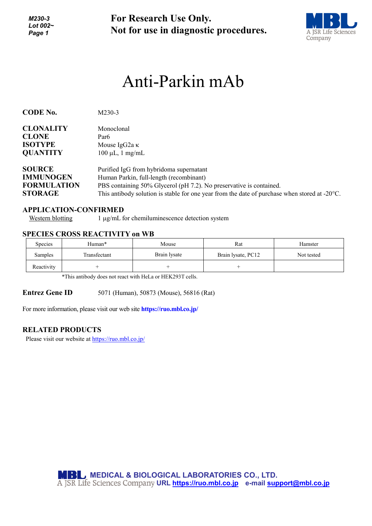*M230-3 Lot 002~ Page 1*

**For Research Use Only. Not for use in diagnostic procedures.**



# Anti-Parkin mAb

| <b>CODE No.</b>    | M230-3                                                                                                  |  |  |
|--------------------|---------------------------------------------------------------------------------------------------------|--|--|
| <b>CLONALITY</b>   | Monoclonal                                                                                              |  |  |
| <b>CLONE</b>       | Par <sub>6</sub>                                                                                        |  |  |
| <b>ISOTYPE</b>     | Mouse IgG2a $\kappa$                                                                                    |  |  |
| <b>QUANTITY</b>    | $100 \mu L$ , 1 mg/mL                                                                                   |  |  |
| <b>SOURCE</b>      | Purified IgG from hybridoma supernatant                                                                 |  |  |
| <b>IMMUNOGEN</b>   | Human Parkin, full-length (recombinant)                                                                 |  |  |
| <b>FORMULATION</b> | PBS containing 50% Glycerol (pH 7.2). No preservative is contained.                                     |  |  |
| <b>STORAGE</b>     | This antibody solution is stable for one year from the date of purchase when stored at $-20^{\circ}$ C. |  |  |

### **APPLICATION-CONFIRMED**

Western blotting 1 µg/mL for chemiluminescence detection system

### **SPECIES CROSS REACTIVITY on WB**

| Species    | Human*       | Mouse        | Rat                | Hamster    |
|------------|--------------|--------------|--------------------|------------|
| Samples    | Transfectant | Brain lysate | Brain lysate, PC12 | Not tested |
| Reactivity |              |              |                    |            |

\*This antibody does not react with HeLa or HEK293T cells.

**Entrez Gene ID** 5071 (Human), 50873 (Mouse), 56816 (Rat)

For more information, please visit our web site **https://ruo.mbl.co.jp/**

### **RELATED PRODUCTS**

Please visit our website a[t https://ruo.mbl.co.jp/](https://ruo.mbl.co.jp/)